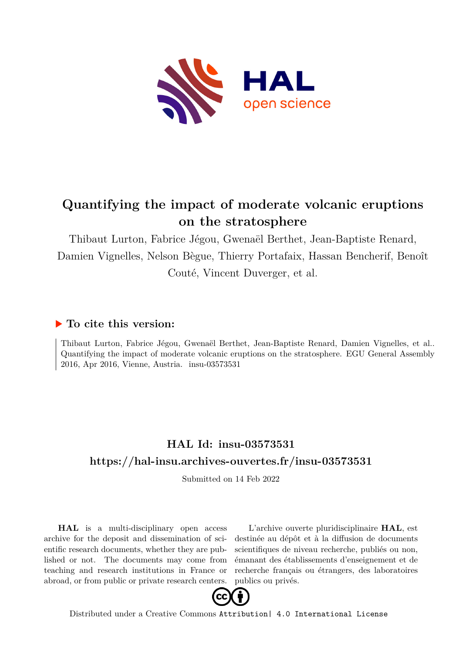

## **Quantifying the impact of moderate volcanic eruptions on the stratosphere**

Thibaut Lurton, Fabrice Jégou, Gwenaël Berthet, Jean-Baptiste Renard, Damien Vignelles, Nelson Bègue, Thierry Portafaix, Hassan Bencherif, Benoît Couté, Vincent Duverger, et al.

## **To cite this version:**

Thibaut Lurton, Fabrice Jégou, Gwenaël Berthet, Jean-Baptiste Renard, Damien Vignelles, et al.. Quantifying the impact of moderate volcanic eruptions on the stratosphere. EGU General Assembly 2016, Apr 2016, Vienne, Austria. insu-03573531

## **HAL Id: insu-03573531 <https://hal-insu.archives-ouvertes.fr/insu-03573531>**

Submitted on 14 Feb 2022

**HAL** is a multi-disciplinary open access archive for the deposit and dissemination of scientific research documents, whether they are published or not. The documents may come from teaching and research institutions in France or abroad, or from public or private research centers.

L'archive ouverte pluridisciplinaire **HAL**, est destinée au dépôt et à la diffusion de documents scientifiques de niveau recherche, publiés ou non, émanant des établissements d'enseignement et de recherche français ou étrangers, des laboratoires publics ou privés.



Distributed under a Creative Commons [Attribution| 4.0 International License](http://creativecommons.org/licenses/by/4.0/)